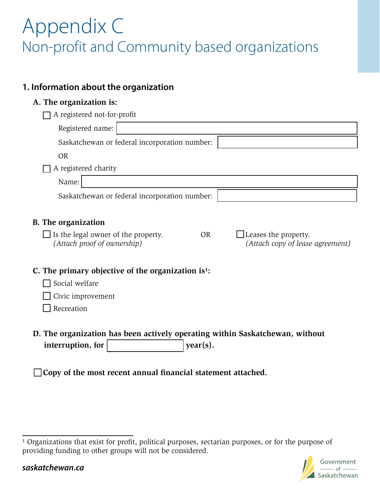# Appendix C Non-profit and Community based organizations

## **1. Information about the organization**

## **A. The organization is:**

| A registered not-for-profit                                                                                      |                                                          |  |
|------------------------------------------------------------------------------------------------------------------|----------------------------------------------------------|--|
| Registered name:                                                                                                 |                                                          |  |
| Saskatchewan or federal incorporation number:                                                                    |                                                          |  |
| <b>OR</b>                                                                                                        |                                                          |  |
| A registered charity                                                                                             |                                                          |  |
| Name:                                                                                                            |                                                          |  |
| Saskatchewan or federal incorporation number:                                                                    |                                                          |  |
| <b>B.</b> The organization<br>Is the legal owner of the property.<br><b>OR</b><br>(Attach proof of ownership)    | Leases the property.<br>(Attach copy of lease agreement) |  |
| C. The primary objective of the organization is <sup>1</sup> :<br>Social welfare                                 |                                                          |  |
| Civic improvement                                                                                                |                                                          |  |
| Recreation                                                                                                       |                                                          |  |
| D. The organization has been actively operating within Saskatchewan, without<br>interruption, for<br>$year(s)$ . |                                                          |  |

**Copy of the most recent annual financial statement attached.**

<sup>&</sup>lt;sup>1</sup> Organizations that exist for profit, political purposes, sectarian purposes, or for the purpose of providing funding to other groups will not be considered.

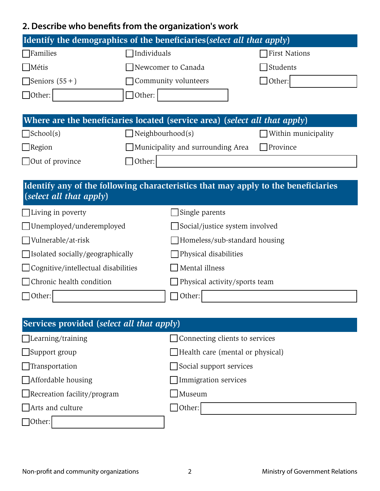# **2. Describe who benefits from the organization's work**

| Identify the demographics of the beneficiaries (select all that apply)            |                                   |                      |  |  |
|-----------------------------------------------------------------------------------|-----------------------------------|----------------------|--|--|
| <b>T</b> Families                                                                 | Individuals                       | <b>First Nations</b> |  |  |
| Métis                                                                             | Newcomer to Canada                | Students             |  |  |
| Seniors $(55+)$                                                                   | Community volunteers              | Other:               |  |  |
| $\Box$ Other:                                                                     | ]Other:                           |                      |  |  |
|                                                                                   |                                   |                      |  |  |
| Where are the beneficiaries located (service area) (select all that apply)        |                                   |                      |  |  |
| $\Box$ School(s)                                                                  | Neighbourhood(s)                  | Within municipality  |  |  |
| $\Box$ Region                                                                     | Municipality and surrounding Area | Province             |  |  |
| $\Box$ Out of province                                                            | Other:                            |                      |  |  |
|                                                                                   |                                   |                      |  |  |
| Identify any of the following characteristics that may apply to the beneficiaries |                                   |                      |  |  |
| (select all that apply)                                                           |                                   |                      |  |  |
| $\Box$ Living in poverty                                                          | Single parents                    |                      |  |  |
| Unemployed/underemployed                                                          | Social/justice system involved    |                      |  |  |
| Vulnerable/at-risk                                                                | Homeless/sub-standard housing     |                      |  |  |
| □ Isolated socially/geographically                                                | Physical disabilities             |                      |  |  |
| $\Box$ Cognitive/intellectual disabilities                                        | Mental illness                    |                      |  |  |
| Chronic health condition                                                          | Physical activity/sports team     |                      |  |  |

| Services provided (select all that apply) |                                         |  |  |
|-------------------------------------------|-----------------------------------------|--|--|
| $\Box$ Learning/training                  | □ Connecting clients to services        |  |  |
| $\Box$ Support group                      | $\Box$ Health care (mental or physical) |  |  |
| $\Box$ Transportation                     | $\Box$ Social support services          |  |  |
| $\Box$ Affordable housing                 | Immigration services                    |  |  |
| $\Box$ Recreation facility/program        | Museum                                  |  |  |
| Arts and culture                          | Other:                                  |  |  |

Non-profit and community organizations <br>
2 2<br>
2<br>
2

□Other:

□ Other: □ Other: □ Other: □ Other: □ Other: □ Other: □ Other: □ Other: □ Other: □ Other: □ Other: □ Other: □ Other: □ Other: □ Other: □ Other: □ Other: □ Other: □ Other: □ Other: □ Other: □ Other: □ Other: □ Other: □ Oth